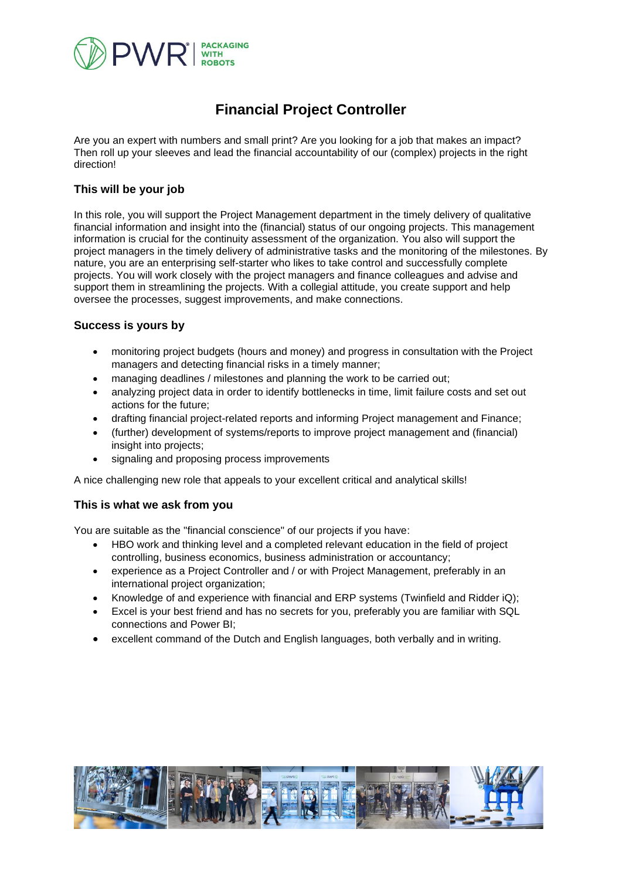

# **Financial Project Controller**

Are you an expert with numbers and small print? Are you looking for a job that makes an impact? Then roll up your sleeves and lead the financial accountability of our (complex) projects in the right direction!

## **This will be your job**

In this role, you will support the Project Management department in the timely delivery of qualitative financial information and insight into the (financial) status of our ongoing projects. This management information is crucial for the continuity assessment of the organization. You also will support the project managers in the timely delivery of administrative tasks and the monitoring of the milestones. By nature, you are an enterprising self-starter who likes to take control and successfully complete projects. You will work closely with the project managers and finance colleagues and advise and support them in streamlining the projects. With a collegial attitude, you create support and help oversee the processes, suggest improvements, and make connections.

#### **Success is yours by**

- monitoring project budgets (hours and money) and progress in consultation with the Project managers and detecting financial risks in a timely manner;
- managing deadlines / milestones and planning the work to be carried out;
- analyzing project data in order to identify bottlenecks in time, limit failure costs and set out actions for the future;
- drafting financial project-related reports and informing Project management and Finance;
- (further) development of systems/reports to improve project management and (financial) insight into projects;
- signaling and proposing process improvements

A nice challenging new role that appeals to your excellent critical and analytical skills!

#### **This is what we ask from you**

You are suitable as the "financial conscience" of our projects if you have:

- HBO work and thinking level and a completed relevant education in the field of project controlling, business economics, business administration or accountancy;
- experience as a Project Controller and / or with Project Management, preferably in an international project organization;
- Knowledge of and experience with financial and ERP systems (Twinfield and Ridder iQ);
- Excel is your best friend and has no secrets for you, preferably you are familiar with SQL connections and Power BI;
- excellent command of the Dutch and English languages, both verbally and in writing.